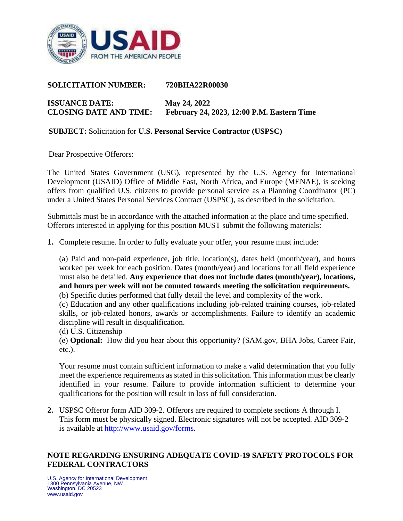

#### **SOLICITATION NUMBER: 720BHA22R00030**

**ISSUANCE DATE: May 24, 2022 CLOSING DATE AND TIME: February 24, 2023, 12:00 P.M. Eastern Time** 

#### **SUBJECT:** Solicitation for **U.S. Personal Service Contractor (USPSC)**

Dear Prospective Offerors:

The United States Government (USG), represented by the U.S. Agency for International Development (USAID) Office of Middle East, North Africa, and Europe (MENAE), is seeking offers from qualified U.S. citizens to provide personal service as a Planning Coordinator (PC) under a United States Personal Services Contract (USPSC), as described in the solicitation.

Submittals must be in accordance with the attached information at the place and time specified. Offerors interested in applying for this position MUST submit the following materials:

**1.** Complete resume. In order to fully evaluate your offer, your resume must include:

(a) Paid and non-paid experience, job title, location(s), dates held (month/year), and hours worked per week for each position. Dates (month/year) and locations for all field experience must also be detailed. **Any experience that does not include dates (month/year), locations, and hours per week will not be counted towards meeting the solicitation requirements.** (b) Specific duties performed that fully detail the level and complexity of the work.

(c) Education and any other qualifications including job-related training courses, job-related skills, or job-related honors, awards or accomplishments. Failure to identify an academic discipline will result in disqualification.

(d) U.S. Citizenship

(e) **Optional:** How did you hear about this opportunity? (SAM.gov, BHA Jobs, Career Fair, etc.).

Your resume must contain sufficient information to make a valid determination that you fully meet the experience requirements as stated in this solicitation. This information must be clearly identified in your resume. Failure to provide information sufficient to determine your qualifications for the position will result in loss of full consideration.

**2.** USPSC Offeror form AID 309-2. Offerors are required to complete sections A through I. This form must be physically signed. Electronic signatures will not be accepted. AID 309-2 is available at http://www.usaid.gov/forms.

# **NOTE REGARDING ENSURING ADEQUATE COVID-19 SAFETY PROTOCOLS FOR FEDERAL CONTRACTORS**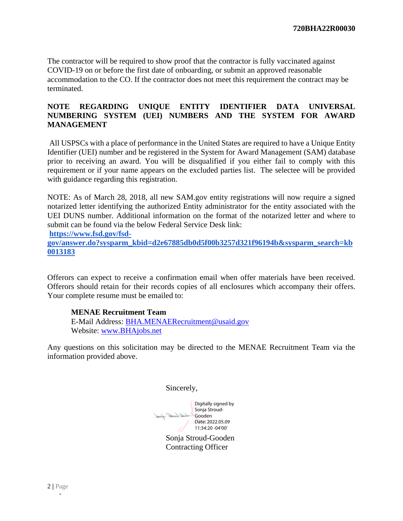The contractor will be required to show proof that the contractor is fully vaccinated against COVID-19 on or before the first date of onboarding, or submit an approved reasonable accommodation to the CO. If the contractor does not meet this requirement the contract may be terminated.

# **NOTE REGARDING UNIQUE ENTITY IDENTIFIER DATA UNIVERSAL NUMBERING SYSTEM (UEI) NUMBERS AND THE SYSTEM FOR AWARD MANAGEMENT**

All USPSCs with a place of performance in the United States are required to have a Unique Entity Identifier (UEI) number and be registered in the System for Award Management (SAM) database prior to receiving an award. You will be disqualified if you either fail to comply with this requirement or if your name appears on the excluded parties list. The selectee will be provided with guidance regarding this registration.

NOTE: As of March 28, 2018, all new SAM.gov entity registrations will now require a signed notarized letter identifying the authorized Entity administrator for the entity associated with the UEI DUNS number. Additional information on the format of the notarized letter and where to submit can be found via the below Federal Service Desk link:

**[https://www.fsd.gov/fsd-](https://www.fsd.gov/fsd-gov/answer.do?sysparm_kbid=d2e67885db0d5f00b3257d321f96194b&sysparm_search=kb0013183)**

**[gov/answer.do?sysparm\\_kbid=d2e67885db0d5f00b3257d321f96194b&sysparm\\_search=kb](https://www.fsd.gov/fsd-gov/answer.do?sysparm_kbid=d2e67885db0d5f00b3257d321f96194b&sysparm_search=kb0013183) [0013183](https://www.fsd.gov/fsd-gov/answer.do?sysparm_kbid=d2e67885db0d5f00b3257d321f96194b&sysparm_search=kb0013183)**

Offerors can expect to receive a confirmation email when offer materials have been received. Offerors should retain for their records copies of all enclosures which accompany their offers. Your complete resume must be emailed to:

#### **MENAE Recruitment Team**

E-Mail Address: [BHA.MENAERecruitment@usaid.gov](mailto:BHA.MENAERecruitment@usaid.gov) Website: [www.BHAjobs.net](http://www.bhajobs.net/)

Any questions on this solicitation may be directed to the MENAE Recruitment Team via the information provided above.

Sincerely,

Digitally signed by Sonja Stroud-Sound Sheder Gooden Date: 2022.05.09 11:34:20 -04'00'

Sonja Stroud-Gooden Contracting Officer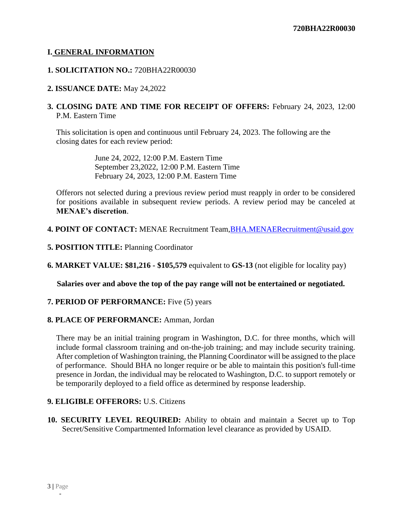# **I. GENERAL INFORMATION**

#### **1. SOLICITATION NO.:** 720BHA22R00030

#### **2. ISSUANCE DATE:** May 24,2022

**3. CLOSING DATE AND TIME FOR RECEIPT OF OFFERS:** February 24, 2023, 12:00 P.M. Eastern Time

This solicitation is open and continuous until February 24, 2023. The following are the closing dates for each review period:

> June 24, 2022, 12:00 P.M. Eastern Time September 23,2022, 12:00 P.M. Eastern Time February 24, 2023, 12:00 P.M. Eastern Time

Offerors not selected during a previous review period must reapply in order to be considered for positions available in subsequent review periods. A review period may be canceled at **MENAE's discretion**.

- **4. POINT OF CONTACT:** MENAE Recruitment Team[,BHA.MENAERecruitment@usaid.gov](mailto:BHA.MENAERecruitment@usaid.gov)
- **5. POSITION TITLE:** Planning Coordinator
- **6. MARKET VALUE: \$81,216 - \$105,579** equivalent to **GS-13** (not eligible for locality pay)

**Salaries over and above the top of the pay range will not be entertained or negotiated.**

- **7. PERIOD OF PERFORMANCE:** Five (5) years
- **8. PLACE OF PERFORMANCE:** Amman, Jordan

There may be an initial training program in Washington, D.C. for three months, which will include formal classroom training and on-the-job training; and may include security training. After completion of Washington training, the Planning Coordinator will be assigned to the place of performance. Should BHA no longer require or be able to maintain this position's full-time presence in Jordan, the individual may be relocated to Washington, D.C. to support remotely or be temporarily deployed to a field office as determined by response leadership.

#### **9. ELIGIBLE OFFERORS:** U.S. Citizens

**10. SECURITY LEVEL REQUIRED:** Ability to obtain and maintain a Secret up to Top Secret/Sensitive Compartmented Information level clearance as provided by USAID.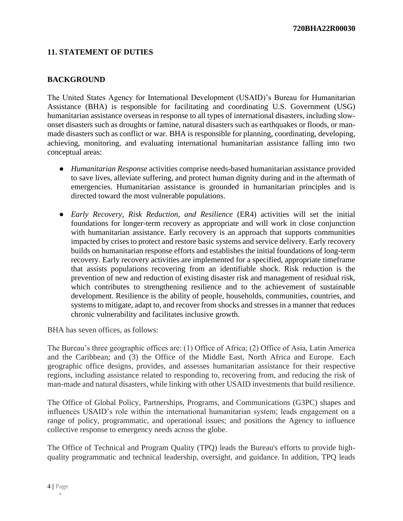# **11. STATEMENT OF DUTIES**

# **BACKGROUND**

The United States Agency for International Development (USAID)'s Bureau for Humanitarian Assistance (BHA) is responsible for facilitating and coordinating U.S. Government (USG) humanitarian assistance overseas in response to all types of international disasters, including slowonset disasters such as droughts or famine, natural disasters such as earthquakes or floods, or manmade disasters such as conflict or war. BHA is responsible for planning, coordinating, developing, achieving, monitoring, and evaluating international humanitarian assistance falling into two conceptual areas:

- *Humanitarian Response* activities comprise needs-based humanitarian assistance provided to save lives, alleviate suffering, and protect human dignity during and in the aftermath of emergencies. Humanitarian assistance is grounded in humanitarian principles and is directed toward the most vulnerable populations.
- *Early Recovery, Risk Reduction, and Resilience* (ER4) activities will set the initial foundations for longer-term recovery as appropriate and will work in close conjunction with humanitarian assistance. Early recovery is an approach that supports communities impacted by crises to protect and restore basic systems and service delivery. Early recovery builds on humanitarian response efforts and establishes the initial foundations of long-term recovery. Early recovery activities are implemented for a specified, appropriate timeframe that assists populations recovering from an identifiable shock. Risk reduction is the prevention of new and reduction of existing disaster risk and management of residual risk, which contributes to strengthening resilience and to the achievement of sustainable development. Resilience is the ability of people, households, communities, countries, and systems to mitigate, adapt to, and recover from shocks and stresses in a manner that reduces chronic vulnerability and facilitates inclusive growth.

BHA has seven offices, as follows:

The Bureau's three geographic offices are: (1) Office of Africa; (2) Office of Asia, Latin America and the Caribbean; and (3) the Office of the Middle East, North Africa and Europe. Each geographic office designs, provides, and assesses humanitarian assistance for their respective regions, including assistance related to responding to, recovering from, and reducing the risk of man-made and natural disasters, while linking with other USAID investments that build resilience.

The Office of Global Policy, Partnerships, Programs, and Communications (G3PC) shapes and influences USAID's role within the international humanitarian system; leads engagement on a range of policy, programmatic, and operational issues; and positions the Agency to influence collective response to emergency needs across the globe.

The Office of Technical and Program Quality (TPQ) leads the Bureau's efforts to provide highquality programmatic and technical leadership, oversight, and guidance. In addition, TPQ leads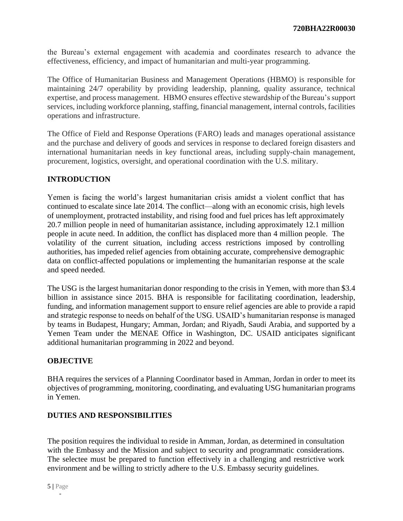the Bureau's external engagement with academia and coordinates research to advance the effectiveness, efficiency, and impact of humanitarian and multi-year programming.

The Office of Humanitarian Business and Management Operations (HBMO) is responsible for maintaining 24/7 operability by providing leadership, planning, quality assurance, technical expertise, and process management. HBMO ensures effective stewardship of the Bureau's support services, including workforce planning, staffing, financial management, internal controls, facilities operations and infrastructure.

The Office of Field and Response Operations (FARO) leads and manages operational assistance and the purchase and delivery of goods and services in response to declared foreign disasters and international humanitarian needs in key functional areas, including supply-chain management, procurement, logistics, oversight, and operational coordination with the U.S. military.

# **INTRODUCTION**

Yemen is facing the world's largest humanitarian crisis amidst a violent conflict that has continued to escalate since late 2014. The conflict—along with an economic crisis, high levels of unemployment, protracted instability, and rising food and fuel prices has left approximately 20.7 million people in need of humanitarian assistance, including approximately 12.1 million people in acute need. In addition, the conflict has displaced more than 4 million people. The volatility of the current situation, including access restrictions imposed by controlling authorities, has impeded relief agencies from obtaining accurate, comprehensive demographic data on conflict-affected populations or implementing the humanitarian response at the scale and speed needed.

The USG is the largest humanitarian donor responding to the crisis in Yemen, with more than \$3.4 billion in assistance since 2015. BHA is responsible for facilitating coordination, leadership, funding, and information management support to ensure relief agencies are able to provide a rapid and strategic response to needs on behalf of the USG. USAID's humanitarian response is managed by teams in Budapest, Hungary; Amman, Jordan; and Riyadh, Saudi Arabia, and supported by a Yemen Team under the MENAE Office in Washington, DC. USAID anticipates significant additional humanitarian programming in 2022 and beyond.

#### **OBJECTIVE**

BHA requires the services of a Planning Coordinator based in Amman, Jordan in order to meet its objectives of programming, monitoring, coordinating, and evaluating USG humanitarian programs in Yemen.

#### **DUTIES AND RESPONSIBILITIES**

The position requires the individual to reside in Amman, Jordan, as determined in consultation with the Embassy and the Mission and subject to security and programmatic considerations. The selectee must be prepared to function effectively in a challenging and restrictive work environment and be willing to strictly adhere to the U.S. Embassy security guidelines.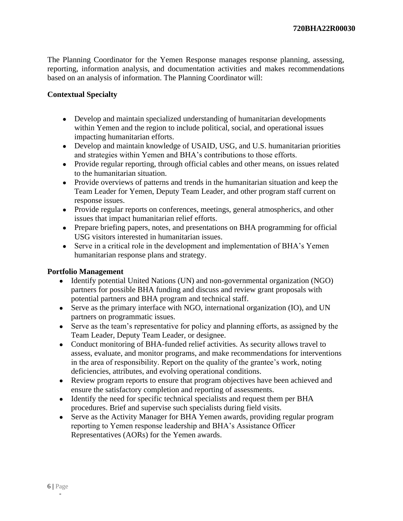The Planning Coordinator for the Yemen Response manages response planning, assessing, reporting, information analysis, and documentation activities and makes recommendations based on an analysis of information. The Planning Coordinator will:

#### **Contextual Specialty**

- Develop and maintain specialized understanding of humanitarian developments within Yemen and the region to include political, social, and operational issues impacting humanitarian efforts.
- Develop and maintain knowledge of USAID, USG, and U.S. humanitarian priorities and strategies within Yemen and BHA's contributions to those efforts.
- Provide regular reporting, through official cables and other means, on issues related to the humanitarian situation.
- Provide overviews of patterns and trends in the humanitarian situation and keep the Team Leader for Yemen, Deputy Team Leader, and other program staff current on response issues.
- Provide regular reports on conferences, meetings, general atmospherics, and other issues that impact humanitarian relief efforts.
- Prepare briefing papers, notes, and presentations on BHA programming for official USG visitors interested in humanitarian issues.
- Serve in a critical role in the development and implementation of BHA's Yemen humanitarian response plans and strategy.

#### **Portfolio Management**

- Identify potential United Nations (UN) and non-governmental organization (NGO) partners for possible BHA funding and discuss and review grant proposals with potential partners and BHA program and technical staff.
- Serve as the primary interface with NGO, international organization (IO), and UN partners on programmatic issues.
- Serve as the team's representative for policy and planning efforts, as assigned by the Team Leader, Deputy Team Leader, or designee.
- Conduct monitoring of BHA-funded relief activities. As security allows travel to assess, evaluate, and monitor programs, and make recommendations for interventions in the area of responsibility. Report on the quality of the grantee's work, noting deficiencies, attributes, and evolving operational conditions.
- Review program reports to ensure that program objectives have been achieved and ensure the satisfactory completion and reporting of assessments.
- Identify the need for specific technical specialists and request them per BHA procedures. Brief and supervise such specialists during field visits.
- Serve as the Activity Manager for BHA Yemen awards, providing regular program reporting to Yemen response leadership and BHA's Assistance Officer Representatives (AORs) for the Yemen awards.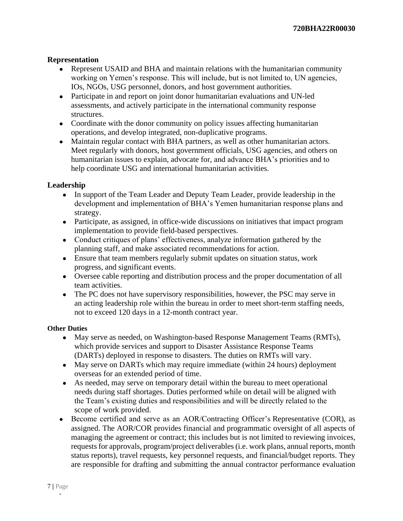# **Representation**

- Represent USAID and BHA and maintain relations with the humanitarian community working on Yemen's response. This will include, but is not limited to, UN agencies, IOs, NGOs, USG personnel, donors, and host government authorities.
- Participate in and report on joint donor humanitarian evaluations and UN-led assessments, and actively participate in the international community response structures.
- Coordinate with the donor community on policy issues affecting humanitarian operations, and develop integrated, non-duplicative programs.
- Maintain regular contact with BHA partners, as well as other humanitarian actors. Meet regularly with donors, host government officials, USG agencies, and others on humanitarian issues to explain, advocate for, and advance BHA's priorities and to help coordinate USG and international humanitarian activities.

#### **Leadership**

- In support of the Team Leader and Deputy Team Leader, provide leadership in the development and implementation of BHA's Yemen humanitarian response plans and strategy.
- Participate, as assigned, in office-wide discussions on initiatives that impact program implementation to provide field-based perspectives.
- Conduct critiques of plans' effectiveness, analyze information gathered by the planning staff, and make associated recommendations for action.
- Ensure that team members regularly submit updates on situation status, work progress, and significant events.
- Oversee cable reporting and distribution process and the proper documentation of all team activities.
- The PC does not have supervisory responsibilities, however, the PSC may serve in an acting leadership role within the bureau in order to meet short-term staffing needs, not to exceed 120 days in a 12-month contract year.

#### **Other Duties**

- May serve as needed, on Washington-based Response Management Teams (RMTs), which provide services and support to Disaster Assistance Response Teams (DARTs) deployed in response to disasters. The duties on RMTs will vary.
- May serve on DARTs which may require immediate (within 24 hours) deployment overseas for an extended period of time.
- As needed, may serve on temporary detail within the bureau to meet operational needs during staff shortages. Duties performed while on detail will be aligned with the Team's existing duties and responsibilities and will be directly related to the scope of work provided.
- Become certified and serve as an AOR/Contracting Officer's Representative (COR), as assigned. The AOR/COR provides financial and programmatic oversight of all aspects of managing the agreement or contract; this includes but is not limited to reviewing invoices, requests for approvals, program/project deliverables (i.e. work plans, annual reports, month status reports), travel requests, key personnel requests, and financial/budget reports. They are responsible for drafting and submitting the annual contractor performance evaluation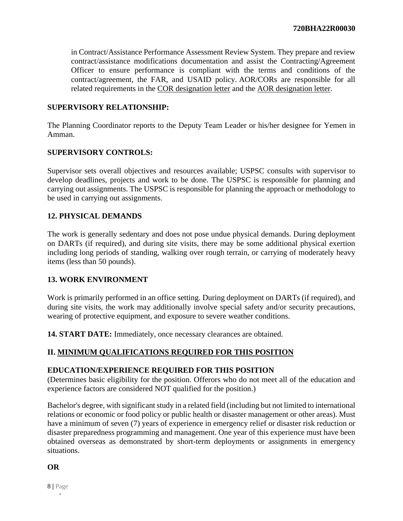in Contract/Assistance Performance Assessment Review System. They prepare and review contract/assistance modifications documentation and assist the Contracting/Agreement Officer to ensure performance is compliant with the terms and conditions of the contract/agreement, the FAR, and USAID policy. AOR/CORs are responsible for all related requirements in the [COR designation letter](https://www.usaid.gov/ads/policy/300/302mar) and the [AOR designation letter.](https://www.usaid.gov/ads/policy/300/303mai)

## **SUPERVISORY RELATIONSHIP:**

The Planning Coordinator reports to the Deputy Team Leader or his/her designee for Yemen in Amman.

## **SUPERVISORY CONTROLS:**

Supervisor sets overall objectives and resources available; USPSC consults with supervisor to develop deadlines, projects and work to be done. The USPSC is responsible for planning and carrying out assignments. The USPSC is responsible for planning the approach or methodology to be used in carrying out assignments.

## **12. PHYSICAL DEMANDS**

The work is generally sedentary and does not pose undue physical demands. During deployment on DARTs (if required), and during site visits, there may be some additional physical exertion including long periods of standing, walking over rough terrain, or carrying of moderately heavy items (less than 50 pounds).

#### **13. WORK ENVIRONMENT**

Work is primarily performed in an office setting. During deployment on DARTs (if required), and during site visits, the work may additionally involve special safety and/or security precautions, wearing of protective equipment, and exposure to severe weather conditions.

**14. START DATE:** Immediately, once necessary clearances are obtained.

# **II. MINIMUM QUALIFICATIONS REQUIRED FOR THIS POSITION**

#### **EDUCATION/EXPERIENCE REQUIRED FOR THIS POSITION**

(Determines basic eligibility for the position. Offerors who do not meet all of the education and experience factors are considered NOT qualified for the position.)

Bachelor's degree, with significant study in a related field (including but not limited to international relations or economic or food policy or public health or disaster management or other areas). Must have a minimum of seven (7) years of experience in emergency relief or disaster risk reduction or disaster preparedness programming and management. One year of this experience must have been obtained overseas as demonstrated by short-term deployments or assignments in emergency situations.

**OR**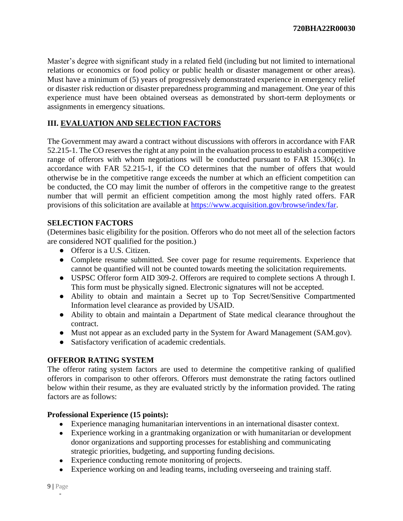Master's degree with significant study in a related field (including but not limited to international relations or economics or food policy or public health or disaster management or other areas). Must have a minimum of (5) years of progressively demonstrated experience in emergency relief or disaster risk reduction or disaster preparedness programming and management. One year of this experience must have been obtained overseas as demonstrated by short-term deployments or assignments in emergency situations.

# **III. EVALUATION AND SELECTION FACTORS**

The Government may award a contract without discussions with offerors in accordance with FAR 52.215-1. The CO reserves the right at any point in the evaluation process to establish a competitive range of offerors with whom negotiations will be conducted pursuant to FAR 15.306(c). In accordance with FAR 52.215-1, if the CO determines that the number of offers that would otherwise be in the competitive range exceeds the number at which an efficient competition can be conducted, the CO may limit the number of offerors in the competitive range to the greatest number that will permit an efficient competition among the most highly rated offers. FAR provisions of this solicitation are available at [https://www.acquisition.gov/browse/index/far.](https://www.acquisition.gov/browse/index/far)

# **SELECTION FACTORS**

(Determines basic eligibility for the position. Offerors who do not meet all of the selection factors are considered NOT qualified for the position.)

- Offeror is a U.S. Citizen.
- Complete resume submitted. See cover page for resume requirements. Experience that cannot be quantified will not be counted towards meeting the solicitation requirements.
- USPSC Offeror form AID 309-2. Offerors are required to complete sections A through I. This form must be physically signed. Electronic signatures will not be accepted.
- Ability to obtain and maintain a Secret up to Top Secret/Sensitive Compartmented Information level clearance as provided by USAID.
- Ability to obtain and maintain a Department of State medical clearance throughout the contract.
- Must not appear as an excluded party in the System for Award Management (SAM.gov).
- Satisfactory verification of academic credentials.

# **OFFEROR RATING SYSTEM**

The offeror rating system factors are used to determine the competitive ranking of qualified offerors in comparison to other offerors. Offerors must demonstrate the rating factors outlined below within their resume, as they are evaluated strictly by the information provided. The rating factors are as follows:

#### **Professional Experience (15 points):**

- Experience managing humanitarian interventions in an international disaster context.
- Experience working in a grantmaking organization or with humanitarian or development donor organizations and supporting processes for establishing and communicating strategic priorities, budgeting, and supporting funding decisions.
- Experience conducting remote monitoring of projects.
- Experience working on and leading teams, including overseeing and training staff.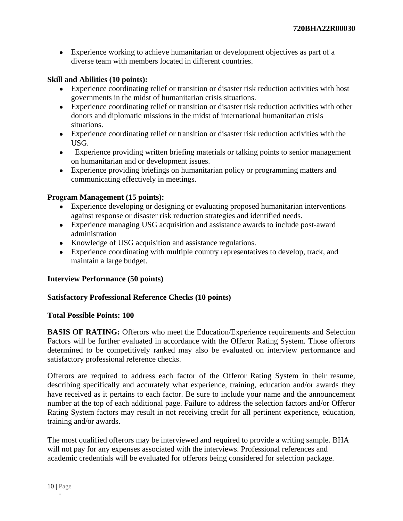● Experience working to achieve humanitarian or development objectives as part of a diverse team with members located in different countries.

## **Skill and Abilities (10 points):**

- Experience coordinating relief or transition or disaster risk reduction activities with host governments in the midst of humanitarian crisis situations.
- Experience coordinating relief or transition or disaster risk reduction activities with other donors and diplomatic missions in the midst of international humanitarian crisis situations.
- Experience coordinating relief or transition or disaster risk reduction activities with the USG.
- Experience providing written briefing materials or talking points to senior management on humanitarian and or development issues.
- Experience providing briefings on humanitarian policy or programming matters and communicating effectively in meetings.

## **Program Management (15 points):**

- Experience developing or designing or evaluating proposed humanitarian interventions against response or disaster risk reduction strategies and identified needs.
- Experience managing USG acquisition and assistance awards to include post-award administration
- Knowledge of USG acquisition and assistance regulations.
- Experience coordinating with multiple country representatives to develop, track, and maintain a large budget.

# **Interview Performance (50 points)**

#### **Satisfactory Professional Reference Checks (10 points)**

#### **Total Possible Points: 100**

**BASIS OF RATING:** Offerors who meet the Education/Experience requirements and Selection Factors will be further evaluated in accordance with the Offeror Rating System. Those offerors determined to be competitively ranked may also be evaluated on interview performance and satisfactory professional reference checks.

Offerors are required to address each factor of the Offeror Rating System in their resume, describing specifically and accurately what experience, training, education and/or awards they have received as it pertains to each factor. Be sure to include your name and the announcement number at the top of each additional page. Failure to address the selection factors and/or Offeror Rating System factors may result in not receiving credit for all pertinent experience, education, training and/or awards.

The most qualified offerors may be interviewed and required to provide a writing sample. BHA will not pay for any expenses associated with the interviews. Professional references and academic credentials will be evaluated for offerors being considered for selection package.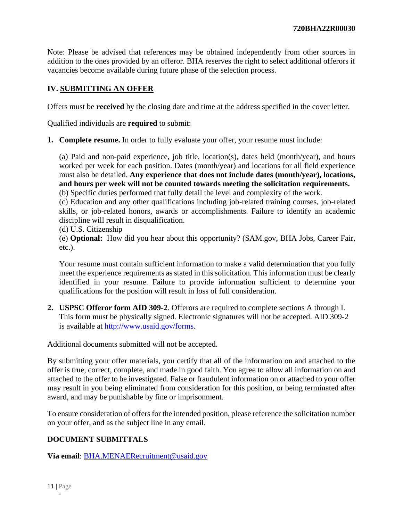Note: Please be advised that references may be obtained independently from other sources in addition to the ones provided by an offeror. BHA reserves the right to select additional offerors if vacancies become available during future phase of the selection process.

# **IV. SUBMITTING AN OFFER**

Offers must be **received** by the closing date and time at the address specified in the cover letter.

Qualified individuals are **required** to submit:

**1. Complete resume.** In order to fully evaluate your offer, your resume must include:

(a) Paid and non-paid experience, job title, location(s), dates held (month/year), and hours worked per week for each position. Dates (month/year) and locations for all field experience must also be detailed. **Any experience that does not include dates (month/year), locations, and hours per week will not be counted towards meeting the solicitation requirements.** (b) Specific duties performed that fully detail the level and complexity of the work.

(c) Education and any other qualifications including job-related training courses, job-related skills, or job-related honors, awards or accomplishments. Failure to identify an academic discipline will result in disqualification.

(d) U.S. Citizenship

(e) **Optional:** How did you hear about this opportunity? (SAM.gov, BHA Jobs, Career Fair, etc.).

Your resume must contain sufficient information to make a valid determination that you fully meet the experience requirements as stated in this solicitation. This information must be clearly identified in your resume. Failure to provide information sufficient to determine your qualifications for the position will result in loss of full consideration.

**2. USPSC Offeror form AID 309-2**. Offerors are required to complete sections A through I. This form must be physically signed. Electronic signatures will not be accepted. AID 309-2 is available at http://www.usaid.gov/forms.

Additional documents submitted will not be accepted.

By submitting your offer materials, you certify that all of the information on and attached to the offer is true, correct, complete, and made in good faith. You agree to allow all information on and attached to the offer to be investigated. False or fraudulent information on or attached to your offer may result in you being eliminated from consideration for this position, or being terminated after award, and may be punishable by fine or imprisonment.

To ensure consideration of offers for the intended position, please reference the solicitation number on your offer, and as the subject line in any email.

# **DOCUMENT SUBMITTALS**

**Via email**: [BHA.MENAERecruitment@usaid.gov](mailto:BHA.MENAERecruitment@usaid.gov)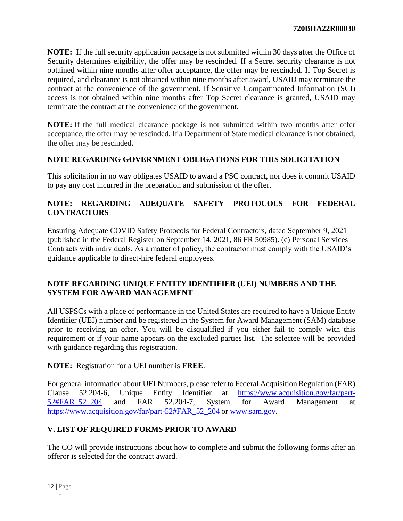**NOTE:** If the full security application package is not submitted within 30 days after the Office of Security determines eligibility, the offer may be rescinded. If a Secret security clearance is not obtained within nine months after offer acceptance, the offer may be rescinded. If Top Secret is required, and clearance is not obtained within nine months after award, USAID may terminate the contract at the convenience of the government. If Sensitive Compartmented Information (SCI) access is not obtained within nine months after Top Secret clearance is granted, USAID may terminate the contract at the convenience of the government.

**NOTE:** If the full medical clearance package is not submitted within two months after offer acceptance, the offer may be rescinded. If a Department of State medical clearance is not obtained; the offer may be rescinded.

## **NOTE REGARDING GOVERNMENT OBLIGATIONS FOR THIS SOLICITATION**

This solicitation in no way obligates USAID to award a PSC contract, nor does it commit USAID to pay any cost incurred in the preparation and submission of the offer.

# **NOTE: REGARDING ADEQUATE SAFETY PROTOCOLS FOR FEDERAL CONTRACTORS**

Ensuring Adequate COVID Safety Protocols for Federal Contractors, dated September 9, 2021 (published in the Federal Register on September 14, 2021, 86 FR 50985). (c) Personal Services Contracts with individuals. As a matter of policy, the contractor must comply with the USAID's guidance applicable to direct-hire federal employees.

# **NOTE REGARDING UNIQUE ENTITY IDENTIFIER (UEI) NUMBERS AND THE SYSTEM FOR AWARD MANAGEMENT**

All USPSCs with a place of performance in the United States are required to have a Unique Entity Identifier (UEI) number and be registered in the System for Award Management (SAM) database prior to receiving an offer. You will be disqualified if you either fail to comply with this requirement or if your name appears on the excluded parties list. The selectee will be provided with guidance regarding this registration.

# **NOTE:** Registration for a UEI number is **FREE**.

For general information about UEI Numbers, please refer to Federal Acquisition Regulation (FAR) Clause 52.204-6, Unique Entity Identifier at [https://www.acquisition.gov/far/part-](https://www.acquisition.gov/far/part-52#FAR_52_204)[52#FAR\\_52\\_204](https://www.acquisition.gov/far/part-52#FAR_52_204) and FAR 52.204-7, System for Award Management at [https://www.acquisition.gov/far/part-52#FAR\\_52\\_204](https://www.acquisition.gov/far/part-52#FAR_52_204) or [www.sam.gov.](http://www.sam.gov/)

# **V. LIST OF REQUIRED FORMS PRIOR TO AWARD**

The CO will provide instructions about how to complete and submit the following forms after an offeror is selected for the contract award.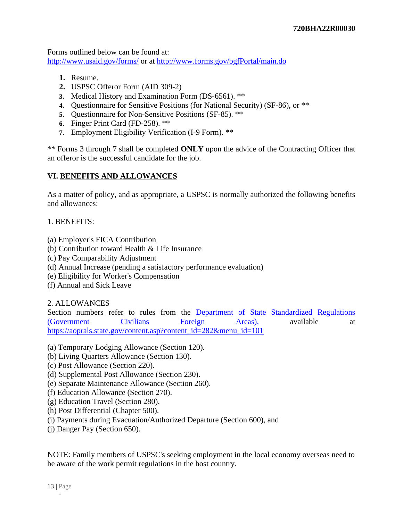Forms outlined below can be found at: <http://www.usaid.gov/forms/> or at<http://www.forms.gov/bgfPortal/main.do>

- **1.** Resume.
- **2.** USPSC Offeror Form (AID 309-2)
- **3.** Medical History and Examination Form (DS-6561). \*\*
- **4.** Questionnaire for Sensitive Positions (for National Security) (SF-86), or \*\*
- **5.** Questionnaire for Non-Sensitive Positions (SF-85). \*\*
- **6.** Finger Print Card (FD-258). \*\*
- **7.** Employment Eligibility Verification (I-9 Form). \*\*

\*\* Forms 3 through 7 shall be completed **ONLY** upon the advice of the Contracting Officer that an offeror is the successful candidate for the job.

#### **VI. BENEFITS AND ALLOWANCES**

As a matter of policy, and as appropriate, a USPSC is normally authorized the following benefits and allowances:

#### 1. BENEFITS:

- (a) Employer's FICA Contribution
- (b) Contribution toward Health & Life Insurance
- (c) Pay Comparability Adjustment
- (d) Annual Increase (pending a satisfactory performance evaluation)
- (e) Eligibility for Worker's Compensation
- (f) Annual and Sick Leave

2. ALLOWANCES

Section numbers refer to rules from the Department of State Standardized Regulations (Government Civilians Foreign Areas), available at [https://aoprals.state.gov/content.asp?content\\_id=282&menu\\_id=101](https://aoprals.state.gov/content.asp?content_id=282&menu_id=101)

- (a) Temporary Lodging Allowance (Section 120).
- (b) Living Quarters Allowance (Section 130).
- (c) Post Allowance (Section 220).
- (d) Supplemental Post Allowance (Section 230).
- (e) Separate Maintenance Allowance (Section 260).
- (f) Education Allowance (Section 270).
- (g) Education Travel (Section 280).
- (h) Post Differential (Chapter 500).
- (i) Payments during Evacuation/Authorized Departure (Section 600), and
- (j) Danger Pay (Section 650).

NOTE: Family members of USPSC's seeking employment in the local economy overseas need to be aware of the work permit regulations in the host country.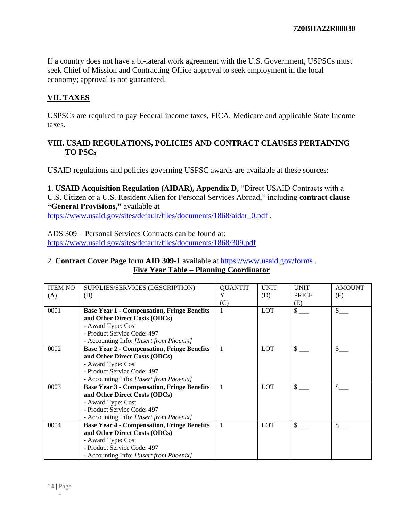If a country does not have a bi-lateral work agreement with the U.S. Government, USPSCs must seek Chief of Mission and Contracting Office approval to seek employment in the local economy; approval is not guaranteed.

# **VII. TAXES**

USPSCs are required to pay Federal income taxes, FICA, Medicare and applicable State Income taxes.

# **VIII. USAID REGULATIONS, POLICIES AND CONTRACT CLAUSES PERTAINING TO PSCs**

USAID regulations and policies governing USPSC awards are available at these sources:

1. **USAID Acquisition Regulation (AIDAR), Appendix D,** "Direct USAID Contracts with a U.S. Citizen or a U.S. Resident Alien for Personal Services Abroad," including **contract clause "General Provisions,"** available at

https://www.usaid.gov/sites/default/files/documents/1868/aidar\_0.pdf .

ADS 309 – Personal Services Contracts can be found at: <https://www.usaid.gov/sites/default/files/documents/1868/309.pdf>

# 2. **Contract Cover Page** form **AID 309-1** available at https://www.usaid.gov/forms . **Five Year Table – Planning Coordinator**

| <b>ITEM NO</b> | SUPPLIES/SERVICES (DESCRIPTION)                    | <b>QUANTIT</b> | <b>UNIT</b> | <b>UNIT</b>   | <b>AMOUNT</b> |
|----------------|----------------------------------------------------|----------------|-------------|---------------|---------------|
| (A)            | (B)                                                | Y              | (D)         | <b>PRICE</b>  | (F)           |
|                |                                                    | (C)            |             | (E)           |               |
| 0001           | <b>Base Year 1 - Compensation, Fringe Benefits</b> | 1              | LOT         | $\mathbb{S}$  | \$            |
|                |                                                    |                |             |               |               |
|                | and Other Direct Costs (ODCs)                      |                |             |               |               |
|                | - Award Type: Cost                                 |                |             |               |               |
|                | - Product Service Code: 497                        |                |             |               |               |
|                | - Accounting Info: [Insert from Phoenix]           |                |             |               |               |
| 0002           | <b>Base Year 2 - Compensation, Fringe Benefits</b> | 1              | <b>LOT</b>  | $\mathcal{S}$ | $\mathbb{S}$  |
|                | and Other Direct Costs (ODCs)                      |                |             |               |               |
|                | - Award Type: Cost                                 |                |             |               |               |
|                | - Product Service Code: 497                        |                |             |               |               |
|                | - Accounting Info: [Insert from Phoenix]           |                |             |               |               |
| 0003           | <b>Base Year 3 - Compensation, Fringe Benefits</b> | 1              | LOT         | $\mathbb{S}$  | \$            |
|                | and Other Direct Costs (ODCs)                      |                |             |               |               |
|                | - Award Type: Cost                                 |                |             |               |               |
|                | - Product Service Code: 497                        |                |             |               |               |
|                | - Accounting Info: [Insert from Phoenix]           |                |             |               |               |
| 0004           | <b>Base Year 4 - Compensation, Fringe Benefits</b> | 1              | <b>LOT</b>  | $\mathbb{S}$  | \$.           |
|                | and Other Direct Costs (ODCs)                      |                |             |               |               |
|                | - Award Type: Cost                                 |                |             |               |               |
|                | - Product Service Code: 497                        |                |             |               |               |
|                | - Accounting Info: [Insert from Phoenix]           |                |             |               |               |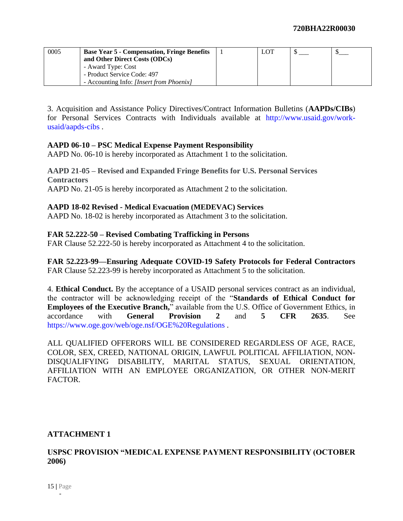| 0005 | <b>Base Year 5 - Compensation, Fringe Benefits</b> | LOT |  |
|------|----------------------------------------------------|-----|--|
|      | and Other Direct Costs (ODCs)                      |     |  |
|      | - Award Type: Cost                                 |     |  |
|      | - Product Service Code: 497                        |     |  |
|      | - Accounting Info: <i>[Insert from Phoenix]</i>    |     |  |

3. Acquisition and Assistance Policy Directives/Contract Information Bulletins (**AAPDs/CIBs**) for Personal Services Contracts with Individuals available at http://www.usaid.gov/workusaid/aapds-cibs .

## **AAPD 06-10 – PSC Medical Expense Payment Responsibility**

AAPD No. 06-10 is hereby incorporated as Attachment 1 to the solicitation.

**AAPD 21-05 – Revised and Expanded Fringe Benefits for U.S. Personal Services Contractors** AAPD No. 21-05 is hereby incorporated as Attachment 2 to the solicitation.

#### **AAPD 18-02 Revised - Medical Evacuation (MEDEVAC) Services**

AAPD No. 18-02 is hereby incorporated as Attachment 3 to the solicitation.

#### **FAR 52.222-50 – Revised Combating Trafficking in Persons**

FAR Clause 52.222-50 is hereby incorporated as Attachment 4 to the solicitation.

#### **FAR 52.223-99—Ensuring Adequate COVID-19 Safety Protocols for Federal Contractors**  FAR Clause 52.223-99 is hereby incorporated as Attachment 5 to the solicitation.

4. **Ethical Conduct.** By the acceptance of a USAID personal services contract as an individual, the contractor will be acknowledging receipt of the "**Standards of Ethical Conduct for Employees of the Executive Branch,**" available from the U.S. Office of Government Ethics, in accordance with **General Provision 2** and **5 CFR 2635**. See https://www.oge.gov/web/oge.nsf/OGE%20Regulations .

ALL QUALIFIED OFFERORS WILL BE CONSIDERED REGARDLESS OF AGE, RACE, COLOR, SEX, CREED, NATIONAL ORIGIN, LAWFUL POLITICAL AFFILIATION, NON-DISQUALIFYING DISABILITY, MARITAL STATUS, SEXUAL ORIENTATION, AFFILIATION WITH AN EMPLOYEE ORGANIZATION, OR OTHER NON-MERIT FACTOR.

# **ATTACHMENT 1**

## **USPSC PROVISION "MEDICAL EXPENSE PAYMENT RESPONSIBILITY (OCTOBER 2006)**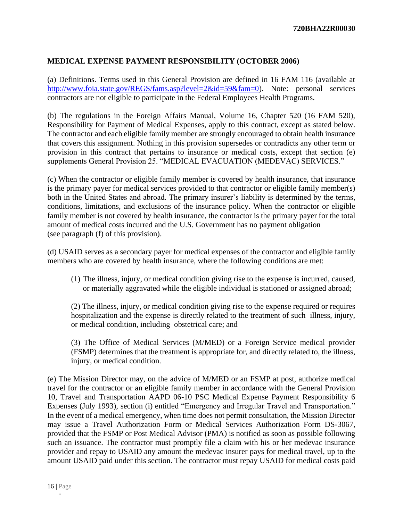## **MEDICAL EXPENSE PAYMENT RESPONSIBILITY (OCTOBER 2006)**

(a) Definitions. Terms used in this General Provision are defined in 16 FAM 116 (available at [http://www.foia.state.gov/REGS/fams.asp?level=2&id=59&fam=0\)](http://www.foia.state.gov/REGS/fams.asp?level=2&id=59&fam=0). Note: personal services contractors are not eligible to participate in the Federal Employees Health Programs.

(b) The regulations in the Foreign Affairs Manual, Volume 16, Chapter 520 (16 FAM 520), Responsibility for Payment of Medical Expenses, apply to this contract, except as stated below. The contractor and each eligible family member are strongly encouraged to obtain health insurance that covers this assignment. Nothing in this provision supersedes or contradicts any other term or provision in this contract that pertains to insurance or medical costs, except that section (e) supplements General Provision 25. "MEDICAL EVACUATION (MEDEVAC) SERVICES."

(c) When the contractor or eligible family member is covered by health insurance, that insurance is the primary payer for medical services provided to that contractor or eligible family member(s) both in the United States and abroad. The primary insurer's liability is determined by the terms, conditions, limitations, and exclusions of the insurance policy. When the contractor or eligible family member is not covered by health insurance, the contractor is the primary payer for the total amount of medical costs incurred and the U.S. Government has no payment obligation (see paragraph (f) of this provision).

(d) USAID serves as a secondary payer for medical expenses of the contractor and eligible family members who are covered by health insurance, where the following conditions are met:

(1) The illness, injury, or medical condition giving rise to the expense is incurred, caused, or materially aggravated while the eligible individual is stationed or assigned abroad;

(2) The illness, injury, or medical condition giving rise to the expense required or requires hospitalization and the expense is directly related to the treatment of such illness, injury, or medical condition, including obstetrical care; and

(3) The Office of Medical Services (M/MED) or a Foreign Service medical provider (FSMP) determines that the treatment is appropriate for, and directly related to, the illness, injury, or medical condition.

(e) The Mission Director may, on the advice of M/MED or an FSMP at post, authorize medical travel for the contractor or an eligible family member in accordance with the General Provision 10, Travel and Transportation AAPD 06-10 PSC Medical Expense Payment Responsibility 6 Expenses (July 1993), section (i) entitled "Emergency and Irregular Travel and Transportation." In the event of a medical emergency, when time does not permit consultation, the Mission Director may issue a Travel Authorization Form or Medical Services Authorization Form DS-3067, provided that the FSMP or Post Medical Advisor (PMA) is notified as soon as possible following such an issuance. The contractor must promptly file a claim with his or her medevac insurance provider and repay to USAID any amount the medevac insurer pays for medical travel, up to the amount USAID paid under this section. The contractor must repay USAID for medical costs paid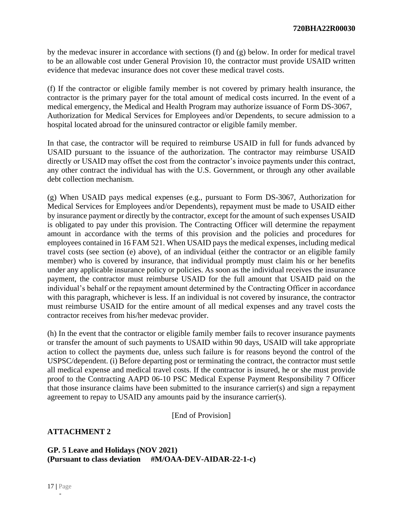by the medevac insurer in accordance with sections (f) and (g) below. In order for medical travel to be an allowable cost under General Provision 10, the contractor must provide USAID written evidence that medevac insurance does not cover these medical travel costs.

(f) If the contractor or eligible family member is not covered by primary health insurance, the contractor is the primary payer for the total amount of medical costs incurred. In the event of a medical emergency, the Medical and Health Program may authorize issuance of Form DS-3067, Authorization for Medical Services for Employees and/or Dependents, to secure admission to a hospital located abroad for the uninsured contractor or eligible family member.

In that case, the contractor will be required to reimburse USAID in full for funds advanced by USAID pursuant to the issuance of the authorization. The contractor may reimburse USAID directly or USAID may offset the cost from the contractor's invoice payments under this contract, any other contract the individual has with the U.S. Government, or through any other available debt collection mechanism.

(g) When USAID pays medical expenses (e.g., pursuant to Form DS-3067, Authorization for Medical Services for Employees and/or Dependents), repayment must be made to USAID either by insurance payment or directly by the contractor, except for the amount of such expenses USAID is obligated to pay under this provision. The Contracting Officer will determine the repayment amount in accordance with the terms of this provision and the policies and procedures for employees contained in 16 FAM 521. When USAID pays the medical expenses, including medical travel costs (see section (e) above), of an individual (either the contractor or an eligible family member) who is covered by insurance, that individual promptly must claim his or her benefits under any applicable insurance policy or policies. As soon as the individual receives the insurance payment, the contractor must reimburse USAID for the full amount that USAID paid on the individual's behalf or the repayment amount determined by the Contracting Officer in accordance with this paragraph, whichever is less. If an individual is not covered by insurance, the contractor must reimburse USAID for the entire amount of all medical expenses and any travel costs the contractor receives from his/her medevac provider.

(h) In the event that the contractor or eligible family member fails to recover insurance payments or transfer the amount of such payments to USAID within 90 days, USAID will take appropriate action to collect the payments due, unless such failure is for reasons beyond the control of the USPSC/dependent. (i) Before departing post or terminating the contract, the contractor must settle all medical expense and medical travel costs. If the contractor is insured, he or she must provide proof to the Contracting AAPD 06-10 PSC Medical Expense Payment Responsibility 7 Officer that those insurance claims have been submitted to the insurance carrier(s) and sign a repayment agreement to repay to USAID any amounts paid by the insurance carrier(s).

[End of Provision]

**ATTACHMENT 2**

**GP. 5 Leave and Holidays (NOV 2021) (Pursuant to class deviation #M/OAA-DEV-AIDAR-22-1-c)**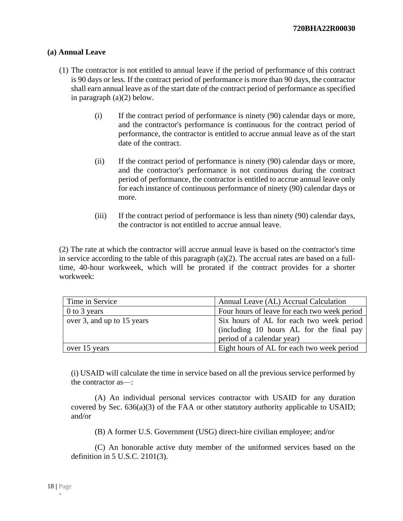#### **(a) Annual Leave**

- (1) The contractor is not entitled to annual leave if the period of performance of this contract is 90 days or less. If the contract period of performance is more than 90 days, the contractor shall earn annual leave as of the start date of the contract period of performance as specified in paragraph (a)(2) below.
	- (i) If the contract period of performance is ninety (90) calendar days or more, and the contractor's performance is continuous for the contract period of performance, the contractor is entitled to accrue annual leave as of the start date of the contract.
	- (ii) If the contract period of performance is ninety (90) calendar days or more, and the contractor's performance is not continuous during the contract period of performance, the contractor is entitled to accrue annual leave only for each instance of continuous performance of ninety (90) calendar days or more.
	- (iii) If the contract period of performance is less than ninety (90) calendar days, the contractor is not entitled to accrue annual leave.

(2) The rate at which the contractor will accrue annual leave is based on the contractor's time in service according to the table of this paragraph  $(a)(2)$ . The accrual rates are based on a fulltime, 40-hour workweek, which will be prorated if the contract provides for a shorter workweek:

| Time in Service            | Annual Leave (AL) Accrual Calculation        |
|----------------------------|----------------------------------------------|
| 0 to 3 years               | Four hours of leave for each two week period |
| over 3, and up to 15 years | Six hours of AL for each two week period     |
|                            | (including 10 hours AL for the final pay     |
|                            | period of a calendar year)                   |
| over 15 years              | Eight hours of AL for each two week period   |

(i) USAID will calculate the time in service based on all the previous service performed by the contractor as—:

(A) An individual personal services contractor with USAID for any duration covered by Sec.  $636(a)(3)$  of the FAA or other statutory authority applicable to USAID; and/or

(B) A former U.S. Government (USG) direct-hire civilian employee; and/or

(C) An honorable active duty member of the uniformed services based on the definition in 5 U.S.C. 2101(3).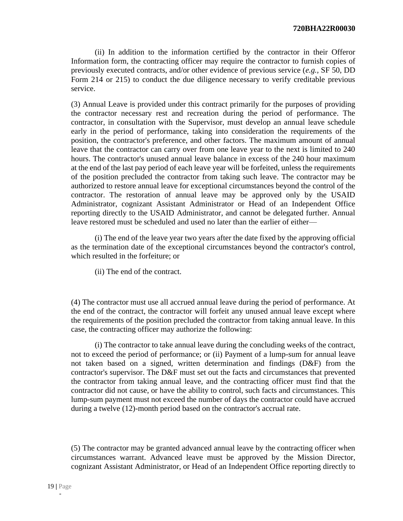(ii) In addition to the information certified by the contractor in their Offeror Information form, the contracting officer may require the contractor to furnish copies of previously executed contracts, and/or other evidence of previous service (*e.g.,* SF 50, DD Form 214 or 215) to conduct the due diligence necessary to verify creditable previous service.

(3) Annual Leave is provided under this contract primarily for the purposes of providing the contractor necessary rest and recreation during the period of performance. The contractor, in consultation with the Supervisor, must develop an annual leave schedule early in the period of performance, taking into consideration the requirements of the position, the contractor's preference, and other factors. The maximum amount of annual leave that the contractor can carry over from one leave year to the next is limited to 240 hours. The contractor's unused annual leave balance in excess of the 240 hour maximum at the end of the last pay period of each leave year will be forfeited, unless the requirements of the position precluded the contractor from taking such leave. The contractor may be authorized to restore annual leave for exceptional circumstances beyond the control of the contractor. The restoration of annual leave may be approved only by the USAID Administrator, cognizant Assistant Administrator or Head of an Independent Office reporting directly to the USAID Administrator, and cannot be delegated further. Annual leave restored must be scheduled and used no later than the earlier of either—

(i) The end of the leave year two years after the date fixed by the approving official as the termination date of the exceptional circumstances beyond the contractor's control, which resulted in the forfeiture; or

(ii) The end of the contract.

(4) The contractor must use all accrued annual leave during the period of performance. At the end of the contract, the contractor will forfeit any unused annual leave except where the requirements of the position precluded the contractor from taking annual leave. In this case, the contracting officer may authorize the following:

(i) The contractor to take annual leave during the concluding weeks of the contract, not to exceed the period of performance; or (ii) Payment of a lump-sum for annual leave not taken based on a signed, written determination and findings (D&F) from the contractor's supervisor. The D&F must set out the facts and circumstances that prevented the contractor from taking annual leave, and the contracting officer must find that the contractor did not cause, or have the ability to control, such facts and circumstances. This lump-sum payment must not exceed the number of days the contractor could have accrued during a twelve (12)-month period based on the contractor's accrual rate.

(5) The contractor may be granted advanced annual leave by the contracting officer when circumstances warrant. Advanced leave must be approved by the Mission Director, cognizant Assistant Administrator, or Head of an Independent Office reporting directly to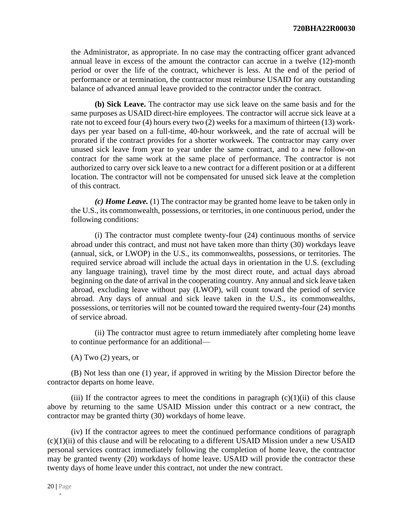the Administrator, as appropriate. In no case may the contracting officer grant advanced annual leave in excess of the amount the contractor can accrue in a twelve (12)-month period or over the life of the contract, whichever is less. At the end of the period of performance or at termination, the contractor must reimburse USAID for any outstanding balance of advanced annual leave provided to the contractor under the contract.

**(b) Sick Leave.** The contractor may use sick leave on the same basis and for the same purposes as USAID direct-hire employees. The contractor will accrue sick leave at a rate not to exceed four (4) hours every two (2) weeks for a maximum of thirteen (13) workdays per year based on a full-time, 40-hour workweek, and the rate of accrual will be prorated if the contract provides for a shorter workweek. The contractor may carry over unused sick leave from year to year under the same contract, and to a new follow-on contract for the same work at the same place of performance. The contractor is not authorized to carry over sick leave to a new contract for a different position or at a different location. The contractor will not be compensated for unused sick leave at the completion of this contract.

*(c) Home Leave.* (1) The contractor may be granted home leave to be taken only in the U.S., its commonwealth, possessions, or territories, in one continuous period, under the following conditions:

(i) The contractor must complete twenty-four (24) continuous months of service abroad under this contract, and must not have taken more than thirty (30) workdays leave (annual, sick, or LWOP) in the U.S., its commonwealths, possessions, or territories. The required service abroad will include the actual days in orientation in the U.S. (excluding any language training), travel time by the most direct route, and actual days abroad beginning on the date of arrival in the cooperating country. Any annual and sick leave taken abroad, excluding leave without pay (LWOP), will count toward the period of service abroad. Any days of annual and sick leave taken in the U.S., its commonwealths, possessions, or territories will not be counted toward the required twenty-four (24) months of service abroad.

(ii) The contractor must agree to return immediately after completing home leave to continue performance for an additional—

(A) Two (2) years, or

(B) Not less than one (1) year, if approved in writing by the Mission Director before the contractor departs on home leave.

(iii) If the contractor agrees to meet the conditions in paragraph  $(c)(1)(ii)$  of this clause above by returning to the same USAID Mission under this contract or a new contract, the contractor may be granted thirty (30) workdays of home leave.

(iv) If the contractor agrees to meet the continued performance conditions of paragraph (c)(1)(ii) of this clause and will be relocating to a different USAID Mission under a new USAID personal services contract immediately following the completion of home leave, the contractor may be granted twenty (20) workdays of home leave. USAID will provide the contractor these twenty days of home leave under this contract, not under the new contract.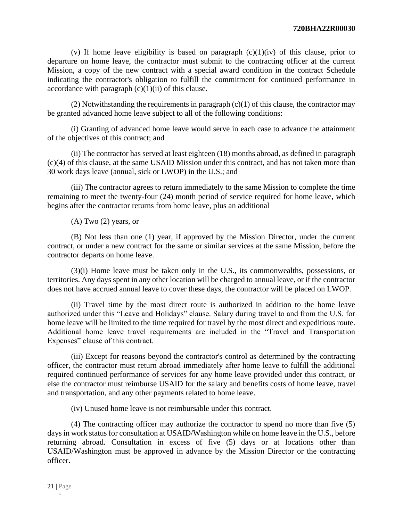(v) If home leave eligibility is based on paragraph  $(c)(1)(iv)$  of this clause, prior to departure on home leave, the contractor must submit to the contracting officer at the current Mission, a copy of the new contract with a special award condition in the contract Schedule indicating the contractor's obligation to fulfill the commitment for continued performance in accordance with paragraph  $(c)(1)(ii)$  of this clause.

(2) Notwithstanding the requirements in paragraph  $(c)(1)$  of this clause, the contractor may be granted advanced home leave subject to all of the following conditions:

(i) Granting of advanced home leave would serve in each case to advance the attainment of the objectives of this contract; and

(ii) The contractor has served at least eighteen (18) months abroad, as defined in paragraph (c)(4) of this clause, at the same USAID Mission under this contract, and has not taken more than 30 work days leave (annual, sick or LWOP) in the U.S.; and

(iii) The contractor agrees to return immediately to the same Mission to complete the time remaining to meet the twenty-four (24) month period of service required for home leave, which begins after the contractor returns from home leave, plus an additional—

(A) Two (2) years, or

(B) Not less than one (1) year, if approved by the Mission Director, under the current contract, or under a new contract for the same or similar services at the same Mission, before the contractor departs on home leave.

(3)(i) Home leave must be taken only in the U.S., its commonwealths, possessions, or territories. Any days spent in any other location will be charged to annual leave, or if the contractor does not have accrued annual leave to cover these days, the contractor will be placed on LWOP.

(ii) Travel time by the most direct route is authorized in addition to the home leave authorized under this "Leave and Holidays" clause. Salary during travel to and from the U.S. for home leave will be limited to the time required for travel by the most direct and expeditious route. Additional home leave travel requirements are included in the "Travel and Transportation Expenses" clause of this contract.

(iii) Except for reasons beyond the contractor's control as determined by the contracting officer, the contractor must return abroad immediately after home leave to fulfill the additional required continued performance of services for any home leave provided under this contract, or else the contractor must reimburse USAID for the salary and benefits costs of home leave, travel and transportation, and any other payments related to home leave.

(iv) Unused home leave is not reimbursable under this contract.

(4) The contracting officer may authorize the contractor to spend no more than five (5) days in work status for consultation at USAID/Washington while on home leave in the U.S., before returning abroad. Consultation in excess of five (5) days or at locations other than USAID/Washington must be approved in advance by the Mission Director or the contracting officer.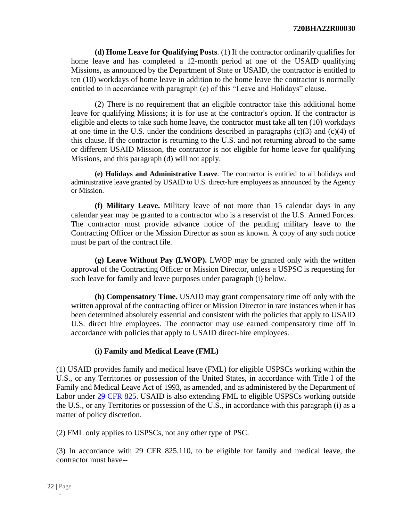**(d) Home Leave for Qualifying Posts***.* (1) If the contractor ordinarily qualifies for home leave and has completed a 12-month period at one of the USAID qualifying Missions, as announced by the Department of State or USAID, the contractor is entitled to ten (10) workdays of home leave in addition to the home leave the contractor is normally entitled to in accordance with paragraph (c) of this "Leave and Holidays" clause.

(2) There is no requirement that an eligible contractor take this additional home leave for qualifying Missions; it is for use at the contractor's option. If the contractor is eligible and elects to take such home leave, the contractor must take all ten (10) workdays at one time in the U.S. under the conditions described in paragraphs  $(c)(3)$  and  $(c)(4)$  of this clause. If the contractor is returning to the U.S. and not returning abroad to the same or different USAID Mission, the contractor is not eligible for home leave for qualifying Missions, and this paragraph (d) will not apply.

**(e) Holidays and Administrative Leave***.* The contractor is entitled to all holidays and administrative leave granted by USAID to U.S. direct-hire employees as announced by the Agency or Mission.

**(f) Military Leave.** Military leave of not more than 15 calendar days in any calendar year may be granted to a contractor who is a reservist of the U.S. Armed Forces. The contractor must provide advance notice of the pending military leave to the Contracting Officer or the Mission Director as soon as known. A copy of any such notice must be part of the contract file.

**(g) Leave Without Pay (LWOP).** LWOP may be granted only with the written approval of the Contracting Officer or Mission Director, unless a USPSC is requesting for such leave for family and leave purposes under paragraph (i) below.

**(h) Compensatory Time.** USAID may grant compensatory time off only with the written approval of the contracting officer or Mission Director in rare instances when it has been determined absolutely essential and consistent with the policies that apply to USAID U.S. direct hire employees. The contractor may use earned compensatory time off in accordance with policies that apply to USAID direct-hire employees.

# **(i) Family and Medical Leave (FML)**

(1) USAID provides family and medical leave (FML) for eligible USPSCs working within the U.S., or any Territories or possession of the United States, in accordance with Title I of the Family and Medical Leave Act of 1993, as amended, and as administered by the Department of Labor under [29 CFR 825.](https://www.ecfr.gov/cgi-bin/text-idx?SID=db0243f608afdb03943b0635a819c860&mc=true&tpl=/ecfrbrowse/Title29/29cfr825_main_02.tpl) USAID is also extending FML to eligible USPSCs working outside the U.S., or any Territories or possession of the U.S., in accordance with this paragraph (i) as a matter of policy discretion.

(2) FML only applies to USPSCs, not any other type of PSC.

(3) In accordance with 29 CFR 825.110, to be eligible for family and medical leave, the contractor must have--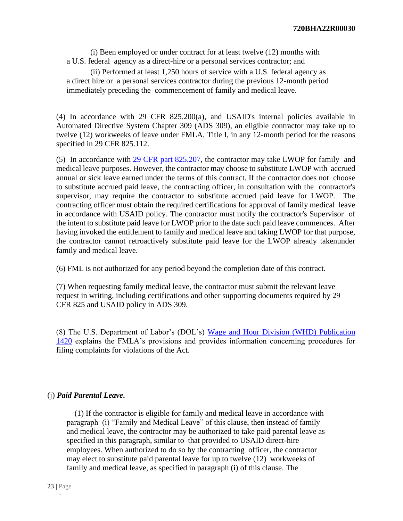(i) Been employed or under contract for at least twelve (12) months with a U.S. federal agency as a direct-hire or a personal services contractor; and

(ii) Performed at least 1,250 hours of service with a U.S. federal agency as a direct hire or a personal services contractor during the previous 12-month period immediately preceding the commencement of family and medical leave.

(4) In accordance with 29 CFR 825.200(a), and USAID's internal policies available in Automated Directive System Chapter 309 (ADS 309), an eligible contractor may take up to twelve (12) workweeks of leave under FMLA, Title I, in any 12-month period for the reasons specified in 29 CFR 825.112.

(5) In accordance with 29 CFR part 825.207, the contractor may take LWOP for family and medical leave purposes. However, the contractor may choose to substitute LWOP with accrued annual or sick leave earned under the terms of this contract. If the contractor does not choose to substitute accrued paid leave, the contracting officer, in consultation with the contractor's supervisor, may require the contractor to substitute accrued paid leave for LWOP. The contracting officer must obtain the required certifications for approval of family medical leave in accordance with USAID policy. The contractor must notify the contractor's Supervisor of the intent to substitute paid leave for LWOP prior to the date such paid leave commences. After having invoked the entitlement to family and medical leave and taking LWOP for that purpose, the contractor cannot retroactively substitute paid leave for the LWOP already takenunder family and medical leave.

(6) FML is not authorized for any period beyond the completion date of this contract.

(7) When requesting family medical leave, the contractor must submit the relevant leave request in writing, including certifications and other supporting documents required by 29 CFR 825 and USAID policy in ADS 309.

(8) The U.S. Department of Labor's (DOL's) [Wage and Hour Division \(WHD\) Publication](https://www.dol.gov/whd/regs/compliance/posters/fmlaen.pdf)  [1420](https://www.dol.gov/whd/regs/compliance/posters/fmlaen.pdf) explains the FMLA's provisions and provides information concerning procedures for filing complaints for violations of the Act.

#### (j) *Paid Parental Leave***.**

 (1) If the contractor is eligible for family and medical leave in accordance with paragraph (i) "Family and Medical Leave" of this clause, then instead of family and medical leave, the contractor may be authorized to take paid parental leave as specified in this paragraph, similar to that provided to USAID direct-hire employees. When authorized to do so by the contracting officer, the contractor may elect to substitute paid parental leave for up to twelve (12) workweeks of family and medical leave, as specified in paragraph (i) of this clause. The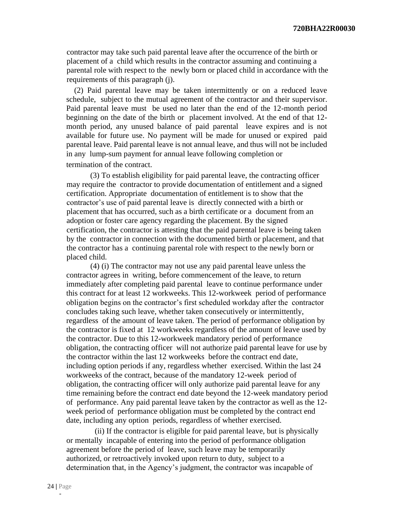#### **720BHA22R00030**

contractor may take such paid parental leave after the occurrence of the birth or placement of a child which results in the contractor assuming and continuing a parental role with respect to the newly born or placed child in accordance with the requirements of this paragraph (j).

 (2) Paid parental leave may be taken intermittently or on a reduced leave schedule, subject to the mutual agreement of the contractor and their supervisor. Paid parental leave must be used no later than the end of the 12-month period beginning on the date of the birth or placement involved. At the end of that 12 month period, any unused balance of paid parental leave expires and is not available for future use. No payment will be made for unused or expired paid parental leave. Paid parental leave is not annual leave, and thus will not be included in any lump-sum payment for annual leave following completion or termination of the contract.

(3) To establish eligibility for paid parental leave, the contracting officer may require the contractor to provide documentation of entitlement and a signed certification. Appropriate documentation of entitlement is to show that the contractor's use of paid parental leave is directly connected with a birth or placement that has occurred, such as a birth certificate or a document from an adoption or foster care agency regarding the placement. By the signed certification, the contractor is attesting that the paid parental leave is being taken by the contractor in connection with the documented birth or placement, and that the contractor has a continuing parental role with respect to the newly born or placed child.

(4) (i) The contractor may not use any paid parental leave unless the contractor agrees in writing, before commencement of the leave, to return immediately after completing paid parental leave to continue performance under this contract for at least 12 workweeks. This 12-workweek period of performance obligation begins on the contractor's first scheduled workday after the contractor concludes taking such leave, whether taken consecutively or intermittently, regardless of the amount of leave taken. The period of performance obligation by the contractor is fixed at 12 workweeks regardless of the amount of leave used by the contractor. Due to this 12-workweek mandatory period of performance obligation, the contracting officer will not authorize paid parental leave for use by the contractor within the last 12 workweeks before the contract end date, including option periods if any, regardless whether exercised. Within the last 24 workweeks of the contract, because of the mandatory 12-week period of obligation, the contracting officer will only authorize paid parental leave for any time remaining before the contract end date beyond the 12-week mandatory period of performance. Any paid parental leave taken by the contractor as well as the 12 week period of performance obligation must be completed by the contract end date, including any option periods, regardless of whether exercised.

(ii) If the contractor is eligible for paid parental leave, but is physically or mentally incapable of entering into the period of performance obligation agreement before the period of leave, such leave may be temporarily authorized, or retroactively invoked upon return to duty, subject to a determination that, in the Agency's judgment, the contractor was incapable of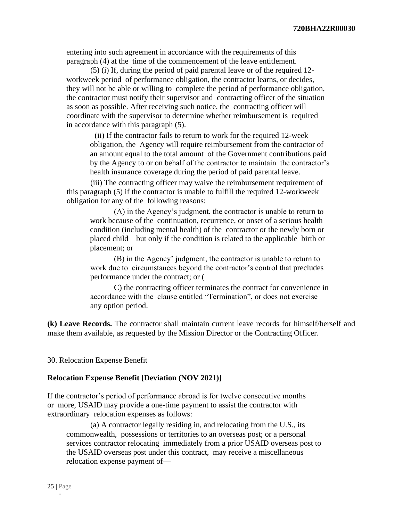entering into such agreement in accordance with the requirements of this paragraph (4) at the time of the commencement of the leave entitlement.

(5) (i) If, during the period of paid parental leave or of the required 12 workweek period of performance obligation, the contractor learns, or decides, they will not be able or willing to complete the period of performance obligation, the contractor must notify their supervisor and contracting officer of the situation as soon as possible. After receiving such notice, the contracting officer will coordinate with the supervisor to determine whether reimbursement is required in accordance with this paragraph (5).

(ii) If the contractor fails to return to work for the required 12-week obligation, the Agency will require reimbursement from the contractor of an amount equal to the total amount of the Government contributions paid by the Agency to or on behalf of the contractor to maintain the contractor's health insurance coverage during the period of paid parental leave.

(iii) The contracting officer may waive the reimbursement requirement of this paragraph (5) if the contractor is unable to fulfill the required 12-workweek obligation for any of the following reasons:

(A) in the Agency's judgment, the contractor is unable to return to work because of the continuation, recurrence, or onset of a serious health condition (including mental health) of the contractor or the newly born or placed child—but only if the condition is related to the applicable birth or placement; or

(B) in the Agency' judgment, the contractor is unable to return to work due to circumstances beyond the contractor's control that precludes performance under the contract; or (

C) the contracting officer terminates the contract for convenience in accordance with the clause entitled "Termination", or does not exercise any option period.

**(k) Leave Records.** The contractor shall maintain current leave records for himself/herself and make them available, as requested by the Mission Director or the Contracting Officer.

30. Relocation Expense Benefit

#### **Relocation Expense Benefit [Deviation (NOV 2021)]**

If the contractor's period of performance abroad is for twelve consecutive months or more, USAID may provide a one-time payment to assist the contractor with extraordinary relocation expenses as follows:

(a) A contractor legally residing in, and relocating from the U.S., its commonwealth, possessions or territories to an overseas post; or a personal services contractor relocating immediately from a prior USAID overseas post to the USAID overseas post under this contract, may receive a miscellaneous relocation expense payment of—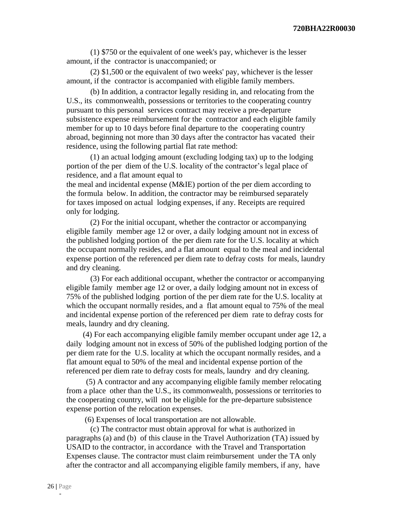(1) \$750 or the equivalent of one week's pay, whichever is the lesser amount, if the contractor is unaccompanied; or

(2) \$1,500 or the equivalent of two weeks' pay, whichever is the lesser amount, if the contractor is accompanied with eligible family members.

(b) In addition, a contractor legally residing in, and relocating from the U.S., its commonwealth, possessions or territories to the cooperating country pursuant to this personal services contract may receive a pre-departure subsistence expense reimbursement for the contractor and each eligible family member for up to 10 days before final departure to the cooperating country abroad, beginning not more than 30 days after the contractor has vacated their residence, using the following partial flat rate method:

(1) an actual lodging amount (excluding lodging tax) up to the lodging portion of the per diem of the U.S. locality of the contractor's legal place of residence, and a flat amount equal to

the meal and incidental expense (M&IE) portion of the per diem according to the formula below. In addition, the contractor may be reimbursed separately for taxes imposed on actual lodging expenses, if any. Receipts are required only for lodging.

(2) For the initial occupant, whether the contractor or accompanying eligible family member age 12 or over, a daily lodging amount not in excess of the published lodging portion of the per diem rate for the U.S. locality at which the occupant normally resides, and a flat amount equal to the meal and incidental expense portion of the referenced per diem rate to defray costs for meals, laundry and dry cleaning.

(3) For each additional occupant, whether the contractor or accompanying eligible family member age 12 or over, a daily lodging amount not in excess of 75% of the published lodging portion of the per diem rate for the U.S. locality at which the occupant normally resides, and a flat amount equal to 75% of the meal and incidental expense portion of the referenced per diem rate to defray costs for meals, laundry and dry cleaning.

 (4) For each accompanying eligible family member occupant under age 12, a daily lodging amount not in excess of 50% of the published lodging portion of the per diem rate for the U.S. locality at which the occupant normally resides, and a flat amount equal to 50% of the meal and incidental expense portion of the referenced per diem rate to defray costs for meals, laundry and dry cleaning.

 (5) A contractor and any accompanying eligible family member relocating from a place other than the U.S., its commonwealth, possessions or territories to the cooperating country, will not be eligible for the pre-departure subsistence expense portion of the relocation expenses.

(6) Expenses of local transportation are not allowable.

(c) The contractor must obtain approval for what is authorized in paragraphs (a) and (b) of this clause in the Travel Authorization (TA) issued by USAID to the contractor, in accordance with the Travel and Transportation Expenses clause. The contractor must claim reimbursement under the TA only after the contractor and all accompanying eligible family members, if any, have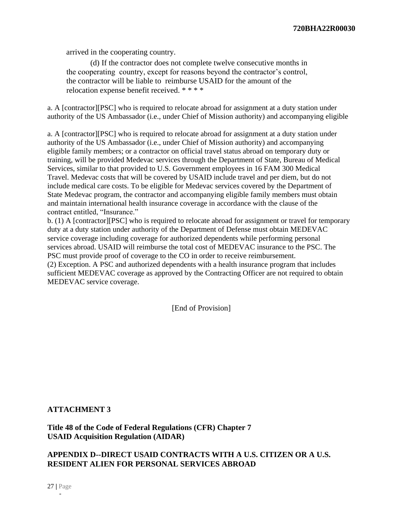arrived in the cooperating country.

(d) If the contractor does not complete twelve consecutive months in the cooperating country, except for reasons beyond the contractor's control, the contractor will be liable to reimburse USAID for the amount of the relocation expense benefit received. \* \* \* \*

a. A [contractor][PSC] who is required to relocate abroad for assignment at a duty station under authority of the US Ambassador (i.e., under Chief of Mission authority) and accompanying eligible

a. A [contractor][PSC] who is required to relocate abroad for assignment at a duty station under authority of the US Ambassador (i.e., under Chief of Mission authority) and accompanying eligible family members; or a contractor on official travel status abroad on temporary duty or training, will be provided Medevac services through the Department of State, Bureau of Medical Services, similar to that provided to U.S. Government employees in 16 FAM 300 Medical Travel. Medevac costs that will be covered by USAID include travel and per diem, but do not include medical care costs. To be eligible for Medevac services covered by the Department of State Medevac program, the contractor and accompanying eligible family members must obtain and maintain international health insurance coverage in accordance with the clause of the contract entitled, "Insurance."

b. (1) A [contractor][PSC] who is required to relocate abroad for assignment or travel for temporary duty at a duty station under authority of the Department of Defense must obtain MEDEVAC service coverage including coverage for authorized dependents while performing personal services abroad. USAID will reimburse the total cost of MEDEVAC insurance to the PSC. The PSC must provide proof of coverage to the CO in order to receive reimbursement.

(2) Exception. A PSC and authorized dependents with a health insurance program that includes sufficient MEDEVAC coverage as approved by the Contracting Officer are not required to obtain MEDEVAC service coverage.

[End of Provision]

#### **ATTACHMENT 3**

**Title 48 of the Code of Federal Regulations (CFR) Chapter 7 USAID Acquisition Regulation (AIDAR)**

# **APPENDIX D--DIRECT USAID CONTRACTS WITH A U.S. CITIZEN OR A U.S. RESIDENT ALIEN FOR PERSONAL SERVICES ABROAD**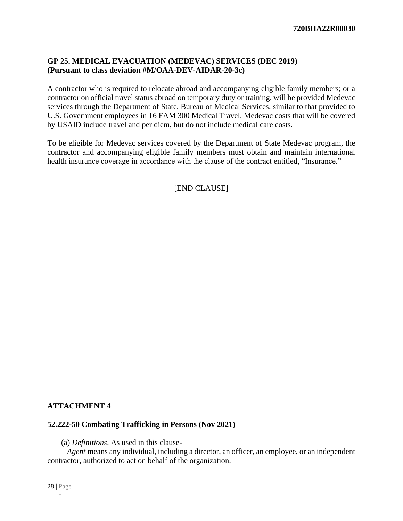# **GP 25. MEDICAL EVACUATION (MEDEVAC) SERVICES (DEC 2019) (Pursuant to class deviation #M/OAA-DEV-AIDAR-20-3c)**

A contractor who is required to relocate abroad and accompanying eligible family members; or a contractor on official travel status abroad on temporary duty or training, will be provided Medevac services through the Department of State, Bureau of Medical Services, similar to that provided to U.S. Government employees in 16 FAM 300 Medical Travel. Medevac costs that will be covered by USAID include travel and per diem, but do not include medical care costs.

To be eligible for Medevac services covered by the Department of State Medevac program, the contractor and accompanying eligible family members must obtain and maintain international health insurance coverage in accordance with the clause of the contract entitled, "Insurance."

[END CLAUSE]

# **ATTACHMENT 4**

#### **52.222-50 Combating Trafficking in Persons (Nov 2021)**

(a) *Definitions*. As used in this clause-

 *Agent* means any individual, including a director, an officer, an employee, or an independent contractor, authorized to act on behalf of the organization.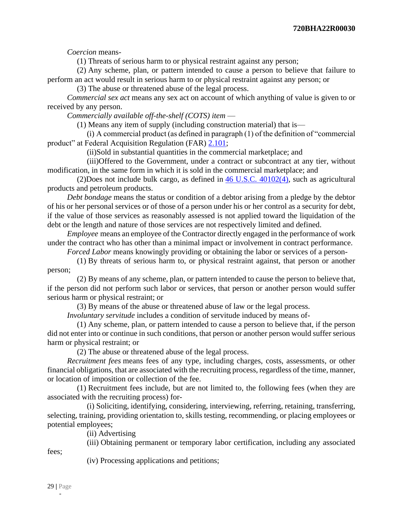*Coercion* means-

(1) Threats of serious harm to or physical restraint against any person;

 (2) Any scheme, plan, or pattern intended to cause a person to believe that failure to perform an act would result in serious harm to or physical restraint against any person; or

(3) The abuse or threatened abuse of the legal process.

 *Commercial sex act* means any sex act on account of which anything of value is given to or received by any person.

*Commercially available off-the-shelf (COTS) item* —

(1) Means any item of supply (including construction material) that is—

 (i) A commercial product (as defined in paragraph (1) of the definition of "commercial product" at Federal Acquisition Regulation (FAR) [2.101;](https://www.acquisition.gov/far/2.101#FAR_2_101)

(ii)Sold in substantial quantities in the commercial marketplace; and

 (iii)Offered to the Government, under a contract or subcontract at any tier, without modification, in the same form in which it is sold in the commercial marketplace; and

 (2)Does not include bulk cargo, as defined in [46 U.S.C. 40102\(4\),](http://uscode.house.gov/browse.xhtml;jsessionid=114A3287C7B3359E597506A31FC855B3) such as agricultural products and petroleum products.

 *Debt bondage* means the status or condition of a debtor arising from a pledge by the debtor of his or her personal services or of those of a person under his or her control as a security for debt, if the value of those services as reasonably assessed is not applied toward the liquidation of the debt or the length and nature of those services are not respectively limited and defined.

 *Employee* means an employee of the Contractor directly engaged in the performance of work under the contract who has other than a minimal impact or involvement in contract performance.

*Forced Labor* means knowingly providing or obtaining the labor or services of a person-

 (1) By threats of serious harm to, or physical restraint against, that person or another person;

 (2) By means of any scheme, plan, or pattern intended to cause the person to believe that, if the person did not perform such labor or services, that person or another person would suffer serious harm or physical restraint; or

(3) By means of the abuse or threatened abuse of law or the legal process.

*Involuntary servitude* includes a condition of servitude induced by means of-

 (1) Any scheme, plan, or pattern intended to cause a person to believe that, if the person did not enter into or continue in such conditions, that person or another person would suffer serious harm or physical restraint; or

(2) The abuse or threatened abuse of the legal process.

 *Recruitment fees* means fees of any type, including charges, costs, assessments, or other financial obligations, that are associated with the recruiting process, regardless of the time, manner, or location of imposition or collection of the fee.

 (1) Recruitment fees include, but are not limited to, the following fees (when they are associated with the recruiting process) for-

 (i) Soliciting, identifying, considering, interviewing, referring, retaining, transferring, selecting, training, providing orientation to, skills testing, recommending, or placing employees or potential employees;

(ii) Advertising

(iii) Obtaining permanent or temporary labor certification, including any associated

fees;

(iv) Processing applications and petitions;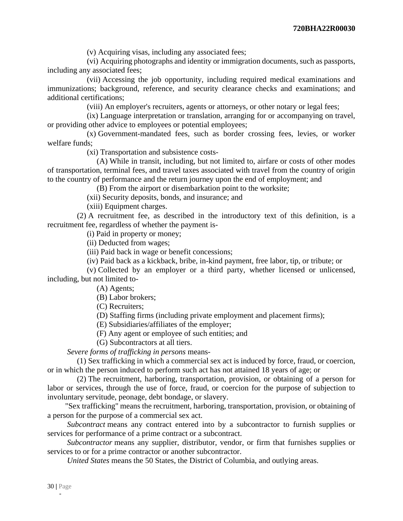(v) Acquiring visas, including any associated fees;

 (vi) Acquiring photographs and identity or immigration documents, such as passports, including any associated fees;

 (vii) Accessing the job opportunity, including required medical examinations and immunizations; background, reference, and security clearance checks and examinations; and additional certifications;

(viii) An employer's recruiters, agents or attorneys, or other notary or legal fees;

 (ix) Language interpretation or translation, arranging for or accompanying on travel, or providing other advice to employees or potential employees;

 (x) Government-mandated fees, such as border crossing fees, levies, or worker welfare funds;

(xi) Transportation and subsistence costs-

 (A) While in transit, including, but not limited to, airfare or costs of other modes of transportation, terminal fees, and travel taxes associated with travel from the country of origin to the country of performance and the return journey upon the end of employment; and

(B) From the airport or disembarkation point to the worksite;

(xii) Security deposits, bonds, and insurance; and

(xiii) Equipment charges.

 (2) A recruitment fee, as described in the introductory text of this definition, is a recruitment fee, regardless of whether the payment is-

(i) Paid in property or money;

(ii) Deducted from wages;

(iii) Paid back in wage or benefit concessions;

(iv) Paid back as a kickback, bribe, in-kind payment, free labor, tip, or tribute; or

 (v) Collected by an employer or a third party, whether licensed or unlicensed, including, but not limited to-

(A) Agents;

(B) Labor brokers;

(C) Recruiters;

(D) Staffing firms (including private employment and placement firms);

(E) Subsidiaries/affiliates of the employer;

(F) Any agent or employee of such entities; and

(G) Subcontractors at all tiers.

*Severe forms of trafficking in persons* means-

 (1) Sex trafficking in which a commercial sex act is induced by force, fraud, or coercion, or in which the person induced to perform such act has not attained 18 years of age; or

 (2) The recruitment, harboring, transportation, provision, or obtaining of a person for labor or services, through the use of force, fraud, or coercion for the purpose of subjection to involuntary servitude, peonage, debt bondage, or slavery.

 "Sex trafficking" means the recruitment, harboring, transportation, provision, or obtaining of a person for the purpose of a commercial sex act.

 *Subcontract* means any contract entered into by a subcontractor to furnish supplies or services for performance of a prime contract or a subcontract.

 *Subcontractor* means any supplier, distributor, vendor, or firm that furnishes supplies or services to or for a prime contractor or another subcontractor.

*United States* means the 50 States, the District of Columbia, and outlying areas.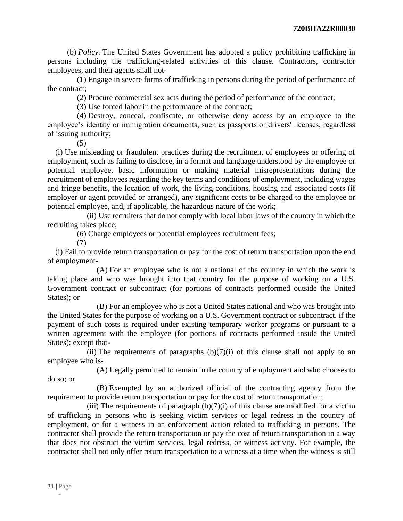(b) *Policy.* The United States Government has adopted a policy prohibiting trafficking in persons including the trafficking-related activities of this clause. Contractors, contractor employees, and their agents shall not-

 (1) Engage in severe forms of trafficking in persons during the period of performance of the contract;

(2) Procure commercial sex acts during the period of performance of the contract;

(3) Use forced labor in the performance of the contract;

 (4) Destroy, conceal, confiscate, or otherwise deny access by an employee to the employee's identity or immigration documents, such as passports or drivers' licenses, regardless of issuing authority;

(5)

(i) Use misleading or fraudulent practices during the recruitment of employees or offering of employment, such as failing to disclose, in a format and language understood by the employee or potential employee, basic information or making material misrepresentations during the recruitment of employees regarding the key terms and conditions of employment, including wages and fringe benefits, the location of work, the living conditions, housing and associated costs (if employer or agent provided or arranged), any significant costs to be charged to the employee or potential employee, and, if applicable, the hazardous nature of the work;

 (ii) Use recruiters that do not comply with local labor laws of the country in which the recruiting takes place;

(6) Charge employees or potential employees recruitment fees;

(7)

(i) Fail to provide return transportation or pay for the cost of return transportation upon the end of employment-

 (A) For an employee who is not a national of the country in which the work is taking place and who was brought into that country for the purpose of working on a U.S. Government contract or subcontract (for portions of contracts performed outside the United States); or

 (B) For an employee who is not a United States national and who was brought into the United States for the purpose of working on a U.S. Government contract or subcontract, if the payment of such costs is required under existing temporary worker programs or pursuant to a written agreement with the employee (for portions of contracts performed inside the United States); except that-

(ii) The requirements of paragraphs  $(b)(7)(i)$  of this clause shall not apply to an employee who is-

 (A) Legally permitted to remain in the country of employment and who chooses to do so; or

 (B) Exempted by an authorized official of the contracting agency from the requirement to provide return transportation or pay for the cost of return transportation;

(iii) The requirements of paragraph  $(b)(7)(i)$  of this clause are modified for a victim of trafficking in persons who is seeking victim services or legal redress in the country of employment, or for a witness in an enforcement action related to trafficking in persons. The contractor shall provide the return transportation or pay the cost of return transportation in a way that does not obstruct the victim services, legal redress, or witness activity. For example, the contractor shall not only offer return transportation to a witness at a time when the witness is still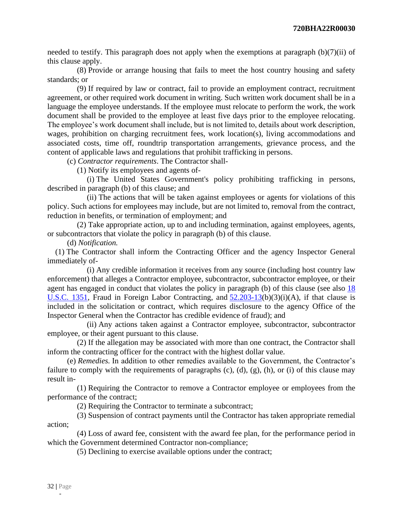needed to testify. This paragraph does not apply when the exemptions at paragraph  $(b)(7)(ii)$  of this clause apply.

 (8) Provide or arrange housing that fails to meet the host country housing and safety standards; or

 (9) If required by law or contract, fail to provide an employment contract, recruitment agreement, or other required work document in writing. Such written work document shall be in a language the employee understands. If the employee must relocate to perform the work, the work document shall be provided to the employee at least five days prior to the employee relocating. The employee's work document shall include, but is not limited to, details about work description, wages, prohibition on charging recruitment fees, work location(s), living accommodations and associated costs, time off, roundtrip transportation arrangements, grievance process, and the content of applicable laws and regulations that prohibit trafficking in persons.

(c) *Contractor requirements*. The Contractor shall-

(1) Notify its employees and agents of-

 (i) The United States Government's policy prohibiting trafficking in persons, described in paragraph (b) of this clause; and

 (ii) The actions that will be taken against employees or agents for violations of this policy. Such actions for employees may include, but are not limited to, removal from the contract, reduction in benefits, or termination of employment; and

 (2) Take appropriate action, up to and including termination, against employees, agents, or subcontractors that violate the policy in paragraph (b) of this clause.

(d) *Notification.*

(1) The Contractor shall inform the Contracting Officer and the agency Inspector General immediately of-

 (i) Any credible information it receives from any source (including host country law enforcement) that alleges a Contractor employee, subcontractor, subcontractor employee, or their agent has engaged in conduct that violates the policy in paragraph (b) of this clause (see also [18](http://uscode.house.gov/browse.xhtml;jsessionid=114A3287C7B3359E597506A31FC855B3)  [U.S.C. 1351,](http://uscode.house.gov/browse.xhtml;jsessionid=114A3287C7B3359E597506A31FC855B3) Fraud in Foreign Labor Contracting, and  $52.203-13(b)(3)(i)(A)$  $52.203-13(b)(3)(i)(A)$ , if that clause is included in the solicitation or contract, which requires disclosure to the agency Office of the Inspector General when the Contractor has credible evidence of fraud); and

 (ii) Any actions taken against a Contractor employee, subcontractor, subcontractor employee, or their agent pursuant to this clause.

 (2) If the allegation may be associated with more than one contract, the Contractor shall inform the contracting officer for the contract with the highest dollar value.

 (e) *Remedies.* In addition to other remedies available to the Government, the Contractor's failure to comply with the requirements of paragraphs  $(c)$ ,  $(d)$ ,  $(g)$ ,  $(h)$ , or  $(i)$  of this clause may result in-

 (1) Requiring the Contractor to remove a Contractor employee or employees from the performance of the contract;

(2) Requiring the Contractor to terminate a subcontract;

 (3) Suspension of contract payments until the Contractor has taken appropriate remedial action;

 (4) Loss of award fee, consistent with the award fee plan, for the performance period in which the Government determined Contractor non-compliance;

(5) Declining to exercise available options under the contract;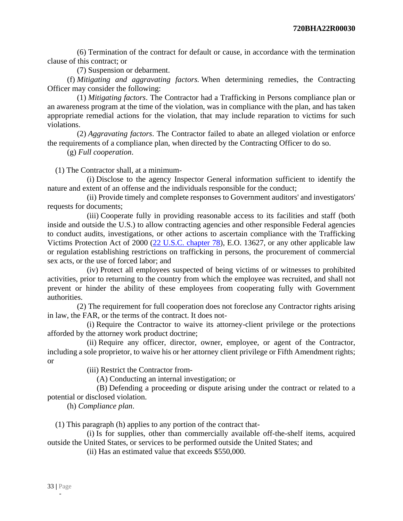(6) Termination of the contract for default or cause, in accordance with the termination clause of this contract; or

(7) Suspension or debarment.

 (f) *Mitigating and aggravating factors.* When determining remedies, the Contracting Officer may consider the following:

 (1) *Mitigating factors*. The Contractor had a Trafficking in Persons compliance plan or an awareness program at the time of the violation, was in compliance with the plan, and has taken appropriate remedial actions for the violation, that may include reparation to victims for such violations.

 (2) *Aggravating factors*. The Contractor failed to abate an alleged violation or enforce the requirements of a compliance plan, when directed by the Contracting Officer to do so.

(g) *Full cooperation*.

(1) The Contractor shall, at a minimum-

 (i) Disclose to the agency Inspector General information sufficient to identify the nature and extent of an offense and the individuals responsible for the conduct;

 (ii) Provide timely and complete responses to Government auditors' and investigators' requests for documents;

 (iii) Cooperate fully in providing reasonable access to its facilities and staff (both inside and outside the U.S.) to allow contracting agencies and other responsible Federal agencies to conduct audits, investigations, or other actions to ascertain compliance with the Trafficking Victims Protection Act of 2000 [\(22 U.S.C. chapter 78\)](http://uscode.house.gov/browse.xhtml;jsessionid=114A3287C7B3359E597506A31FC855B3), E.O. 13627, or any other applicable law or regulation establishing restrictions on trafficking in persons, the procurement of commercial sex acts, or the use of forced labor; and

 (iv) Protect all employees suspected of being victims of or witnesses to prohibited activities, prior to returning to the country from which the employee was recruited, and shall not prevent or hinder the ability of these employees from cooperating fully with Government authorities.

 (2) The requirement for full cooperation does not foreclose any Contractor rights arising in law, the FAR, or the terms of the contract. It does not-

 (i) Require the Contractor to waive its attorney-client privilege or the protections afforded by the attorney work product doctrine;

 (ii) Require any officer, director, owner, employee, or agent of the Contractor, including a sole proprietor, to waive his or her attorney client privilege or Fifth Amendment rights; or

(iii) Restrict the Contractor from-

(A) Conducting an internal investigation; or

 (B) Defending a proceeding or dispute arising under the contract or related to a potential or disclosed violation.

(h) *Compliance plan*.

(1) This paragraph (h) applies to any portion of the contract that-

 (i) Is for supplies, other than commercially available off-the-shelf items, acquired outside the United States, or services to be performed outside the United States; and

(ii) Has an estimated value that exceeds \$550,000.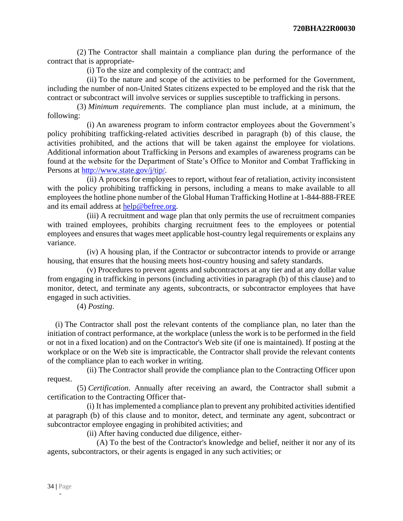(2) The Contractor shall maintain a compliance plan during the performance of the contract that is appropriate-

(i) To the size and complexity of the contract; and

 (ii) To the nature and scope of the activities to be performed for the Government, including the number of non-United States citizens expected to be employed and the risk that the contract or subcontract will involve services or supplies susceptible to trafficking in persons.

 (3) *Minimum requirements*. The compliance plan must include, at a minimum, the following:

 (i) An awareness program to inform contractor employees about the Government's policy prohibiting trafficking-related activities described in paragraph (b) of this clause, the activities prohibited, and the actions that will be taken against the employee for violations. Additional information about Trafficking in Persons and examples of awareness programs can be found at the website for the Department of State's Office to Monitor and Combat Trafficking in Persons at [http://www.state.gov/j/tip/.](http://www.state.gov/j/tip/)

 (ii) A process for employees to report, without fear of retaliation, activity inconsistent with the policy prohibiting trafficking in persons, including a means to make available to all employees the hotline phone number of the Global Human Trafficking Hotline at 1-844-888-FREE and its email address at [help@befree.org.](mailto:help@befree.org)

 (iii) A recruitment and wage plan that only permits the use of recruitment companies with trained employees, prohibits charging recruitment fees to the employees or potential employees and ensures that wages meet applicable host-country legal requirements or explains any variance.

 (iv) A housing plan, if the Contractor or subcontractor intends to provide or arrange housing, that ensures that the housing meets host-country housing and safety standards.

 (v) Procedures to prevent agents and subcontractors at any tier and at any dollar value from engaging in trafficking in persons (including activities in paragraph (b) of this clause) and to monitor, detect, and terminate any agents, subcontracts, or subcontractor employees that have engaged in such activities.

(4) *Posting*.

(i) The Contractor shall post the relevant contents of the compliance plan, no later than the initiation of contract performance, at the workplace (unless the work is to be performed in the field or not in a fixed location) and on the Contractor's Web site (if one is maintained). If posting at the workplace or on the Web site is impracticable, the Contractor shall provide the relevant contents of the compliance plan to each worker in writing.

 (ii) The Contractor shall provide the compliance plan to the Contracting Officer upon request.

 (5) *Certification*. Annually after receiving an award, the Contractor shall submit a certification to the Contracting Officer that-

 (i) It has implemented a compliance plan to prevent any prohibited activities identified at paragraph (b) of this clause and to monitor, detect, and terminate any agent, subcontract or subcontractor employee engaging in prohibited activities; and

(ii) After having conducted due diligence, either-

 (A) To the best of the Contractor's knowledge and belief, neither it nor any of its agents, subcontractors, or their agents is engaged in any such activities; or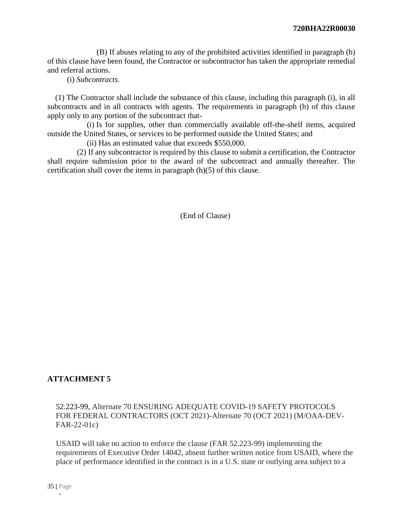(B) If abuses relating to any of the prohibited activities identified in paragraph (b) of this clause have been found, the Contractor or subcontractor has taken the appropriate remedial and referral actions.

(i) *Subcontracts*.

(1) The Contractor shall include the substance of this clause, including this paragraph (i), in all subcontracts and in all contracts with agents. The requirements in paragraph (h) of this clause apply only to any portion of the subcontract that-

 (i) Is for supplies, other than commercially available off-the-shelf items, acquired outside the United States, or services to be performed outside the United States; and

(ii) Has an estimated value that exceeds \$550,000.

 (2) If any subcontractor is required by this clause to submit a certification, the Contractor shall require submission prior to the award of the subcontract and annually thereafter. The certification shall cover the items in paragraph (h)(5) of this clause.

(End of Clause)

# **ATTACHMENT 5**

52.223-99, Alternate 70 ENSURING ADEQUATE COVID-19 SAFETY PROTOCOLS FOR FEDERAL CONTRACTORS (OCT 2021)-Alternate 70 (OCT 2021) (M/OAA-DEV-FAR-22-01c)

USAID will take no action to enforce the clause (FAR 52.223-99) implementing the requirements of Executive Order 14042, absent further written notice from USAID, where the place of performance identified in the contract is in a U.S. state or outlying area subject to a